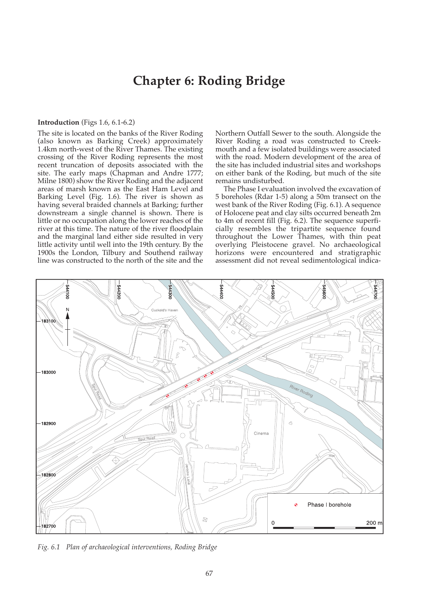# **Chapter 6: Roding Bridge**

# **Introduction** (Figs 1.6, 6.1-6.2)

The site is located on the banks of the River Roding (also known as Barking Creek) approximately 1.4km north-west of the River Thames. The existing crossing of the River Roding represents the most recent truncation of deposits associated with the site. The early maps (Chapman and Andre 1777; Milne 1800) show the River Roding and the adjacent areas of marsh known as the East Ham Level and Barking Level (Fig. 1.6). The river is shown as having several braided channels at Barking; further downstream a single channel is shown. There is little or no occupation along the lower reaches of the river at this time. The nature of the river floodplain and the marginal land either side resulted in very little activity until well into the 19th century. By the 1900s the London, Tilbury and Southend railway line was constructed to the north of the site and the

Northern Outfall Sewer to the south. Alongside the River Roding a road was constructed to Creekmouth and a few isolated buildings were associated with the road. Modern development of the area of the site has included industrial sites and workshops on either bank of the Roding, but much of the site remains undisturbed.

The Phase I evaluation involved the excavation of 5 boreholes (Rdar 1-5) along a 50m transect on the west bank of the River Roding (Fig. 6.1). A sequence of Holocene peat and clay silts occurred beneath 2m to 4m of recent fill (Fig. 6.2). The sequence superficially resembles the tripartite sequence found throughout the Lower Thames, with thin peat overlying Pleistocene gravel. No archaeological horizons were encountered and stratigraphic assessment did not reveal sedimentological indica-



*Fig. 6.1 Plan of archaeological interventions, Roding Bridge*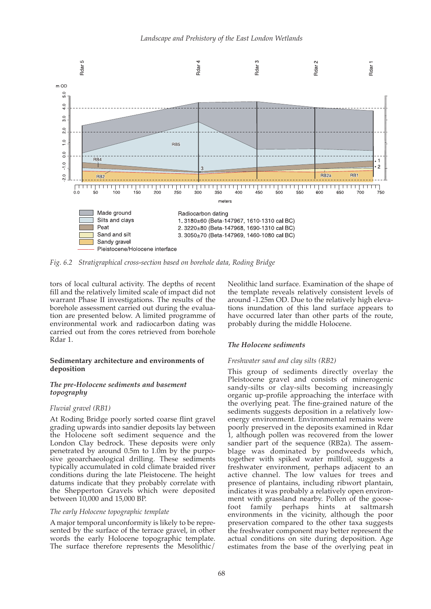

*Fig. 6.2 Stratigraphical cross-section based on borehole data, Roding Bridge*

tors of local cultural activity. The depths of recent fill and the relatively limited scale of impact did not warrant Phase II investigations. The results of the borehole assessment carried out during the evaluation are presented below. A limited programme of environmental work and radiocarbon dating was carried out from the cores retrieved from borehole Rdar 1.

# **Sedimentary architecture and environments of deposition**

## *The pre-Holocene sediments and basement topography*

## *Fluvial gravel (RB1)*

At Roding Bridge poorly sorted coarse flint gravel grading upwards into sandier deposits lay between the Holocene soft sediment sequence and the London Clay bedrock. These deposits were only penetrated by around 0.5m to 1.0m by the purposive geoarchaeological drilling. These sediments typically accumulated in cold climate braided river conditions during the late Pleistocene. The height datums indicate that they probably correlate with the Shepperton Gravels which were deposited between 10,000 and 15,000 BP.

#### *The early Holocene topographic template*

A major temporal unconformity is likely to be represented by the surface of the terrace gravel, in other words the early Holocene topographic template. The surface therefore represents the Mesolithic/ Neolithic land surface. Examination of the shape of the template reveals relatively consistent levels of around -1.25m OD. Due to the relatively high elevations inundation of this land surface appears to have occurred later than other parts of the route, probably during the middle Holocene.

## *The Holocene sediments*

#### *Freshwater sand and clay silts (RB2)*

This group of sediments directly overlay the Pleistocene gravel and consists of minerogenic sandy-silts or clay-silts becoming increasingly organic up-profile approaching the interface with the overlying peat. The fine-grained nature of the sediments suggests deposition in a relatively lowenergy environment. Environmental remains were poorly preserved in the deposits examined in Rdar 1, although pollen was recovered from the lower sandier part of the sequence (RB2a). The assemblage was dominated by pondweeds which, together with spiked water millfoil, suggests a freshwater environment, perhaps adjacent to an active channel. The low values for trees and presence of plantains, including ribwort plantain, indicates it was probably a relatively open environment with grassland nearby. Pollen of the goosefoot family perhaps hints at saltmarsh environments in the vicinity, although the poor preservation compared to the other taxa suggests the freshwater component may better represent the actual conditions on site during deposition. Age estimates from the base of the overlying peat in